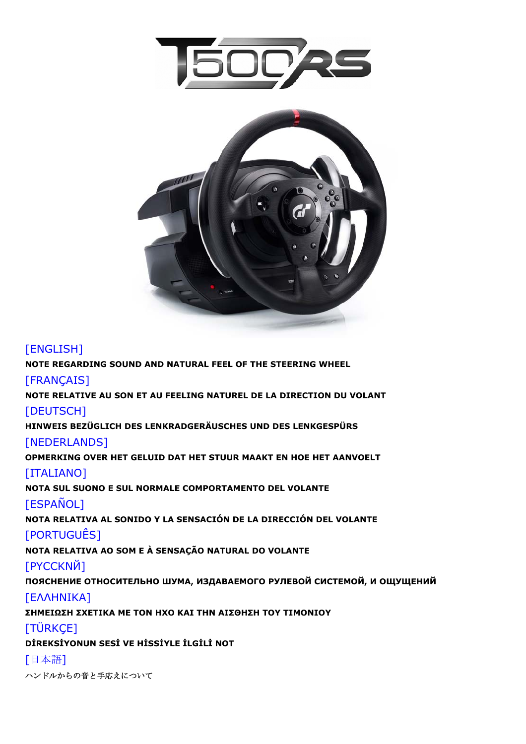



# [ENGLISH]

**[NOTE REGARDING SOUND AND NATURAL FEEL OF THE STEERING WHEEL](#page-1-0)**

### [FRANÇAIS]

**[NOTE RELATIVE AU SON ET AU FEELING NATUREL DE LA DIRECTION DU VOLANT](#page-1-0)** 

### **[DEUTSCH]**

**[HINWEIS BEZÜGLICH DES LENKRADGERÄUSCHES UND DES LENKGESPÜRS](#page-2-0)** 

### [NEDERLANDS]

**[OPMERKING OVER HET GELUID DAT HET STUUR MAAKT EN HOE HET AANVOELT](#page-2-0)** 

# [ITALIANO]

**[NOTA SUL SUONO E SUL NORMALE COMPORTAMENTO DEL VOLANTE](#page-3-0)**

# [ESPAÑOL]

**[NOTA RELATIVA AL SONIDO Y LA SENSACIÓN DE LA DIRECCIÓN DEL VOLANTE](#page-3-0)**

# [PORTUGUÊS]

**[NOTA RELATIVA AO SOM E À SENSAÇÃO NATURAL DO VOLANTE](#page-4-0)**

# [PYCCKNЙ]

**ПОЯСНЕНИЕ [ОТНОСИТЕЛЬНО](#page-4-0) ШУМА, ИЗДАВАЕМОГО РУЛЕВОЙ СИСТЕМОЙ, И ОЩУЩЕНИЙ**

# [[ΕΛΛΗΝΙΚΑ](#page-5-0)]

**ΣΗΜΕΙΩΣΗ ΣΧΕΤΙΚΑ ΜΕ ΤΟΝ ΗΧΟ ΚΑΙ ΤΗΝ ΑΙΣΘΗΣΗ ΤΟΥ ΤΙΜΟΝΙΟΥ**

# [TÜRKCE]

**DİREKSİYONUN SESİ VE HİSSİYLE İLGİLİ NOT**

# [日本語]

[ハンドルからの音と手応えについて](#page-6-0)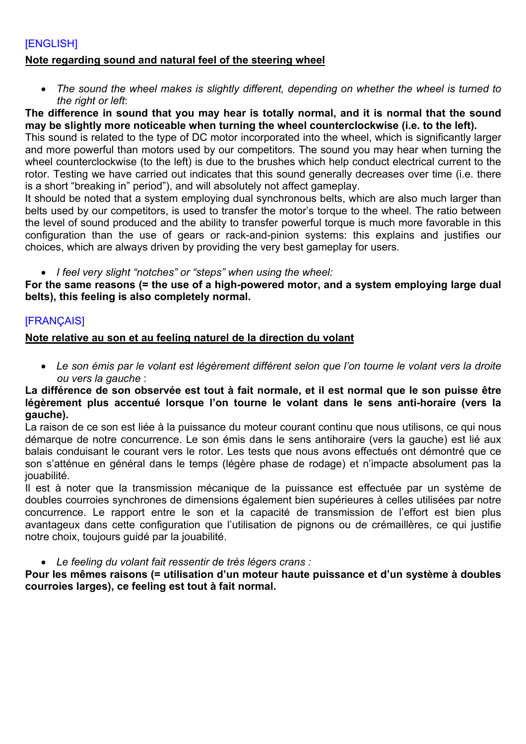### <span id="page-1-0"></span>[ENGLISH]

#### **Note regarding sound and natural feel of the steering wheel**

 *The sound the wheel makes is slightly different, depending on whether the wheel is turned to the right or left*:

**The difference in sound that you may hear is totally normal, and it is normal that the sound may be slightly more noticeable when turning the wheel counterclockwise (i.e. to the left).** 

This sound is related to the type of DC motor incorporated into the wheel, which is significantly larger and more powerful than motors used by our competitors. The sound you may hear when turning the wheel counterclockwise (to the left) is due to the brushes which help conduct electrical current to the rotor. Testing we have carried out indicates that this sound generally decreases over time (i.e. there is a short "breaking in" period"), and will absolutely not affect gameplay.

It should be noted that a system employing dual synchronous belts, which are also much larger than belts used by our competitors, is used to transfer the motor's torque to the wheel. The ratio between the level of sound produced and the ability to transfer powerful torque is much more favorable in this configuration than the use of gears or rack-and-pinion systems: this explains and justifies our choices, which are always driven by providing the very best gameplay for users.

*I feel very slight "notches" or "steps" when using the wheel:*

**For the same reasons (= the use of a high-powered motor, and a system employing large dual belts), this feeling is also completely normal.**

### [FRANÇAIS]

### **Note relative au son et au feeling naturel de la direction du volant**

 *Le son émis par le volant est légèrement différent selon que l'on tourne le volant vers la droite ou vers la gauche* :

#### **La différence de son observée est tout à fait normale, et il est normal que le son puisse être légèrement plus accentué lorsque l'on tourne le volant dans le sens anti-horaire (vers la gauche).**

La raison de ce son est liée à la puissance du moteur courant continu que nous utilisons, ce qui nous démarque de notre concurrence. Le son émis dans le sens antihoraire (vers la gauche) est lié aux balais conduisant le courant vers le rotor. Les tests que nous avons effectués ont démontré que ce son s'atténue en général dans le temps (légère phase de rodage) et n'impacte absolument pas la jouabilité.

Il est à noter que la transmission mécanique de la puissance est effectuée par un système de doubles courroies synchrones de dimensions également bien supérieures à celles utilisées par notre concurrence. Le rapport entre le son et la capacité de transmission de l'effort est bien plus avantageux dans cette configuration que l'utilisation de pignons ou de crémaillères, ce qui justifie notre choix, toujours guidé par la jouabilité.

*Le feeling du volant fait ressentir de très légers crans :*

**Pour les mêmes raisons (= utilisation d'un moteur haute puissance et d'un système à doubles courroies larges), ce feeling est tout à fait normal.**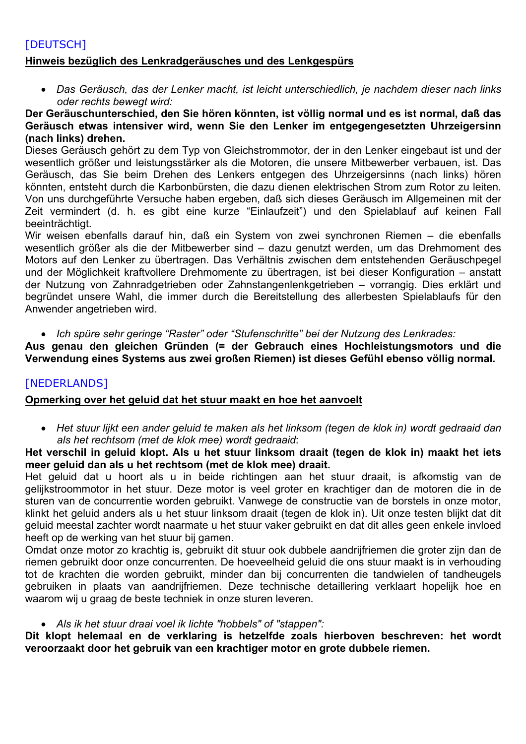### <span id="page-2-0"></span>[DEUTSCH] **Hinweis bezüglich des Lenkradgeräusches und des Lenkgespürs**

 *Das Geräusch, das der Lenker macht, ist leicht unterschiedlich, je nachdem dieser nach links oder rechts bewegt wird:*

#### **Der Geräuschunterschied, den Sie hören könnten, ist völlig normal und es ist normal, daß das Geräusch etwas intensiver wird, wenn Sie den Lenker im entgegengesetzten Uhrzeigersinn (nach links) drehen.**

Dieses Geräusch gehört zu dem Typ von Gleichstrommotor, der in den Lenker eingebaut ist und der wesentlich größer und leistungsstärker als die Motoren, die unsere Mitbewerber verbauen, ist. Das Geräusch, das Sie beim Drehen des Lenkers entgegen des Uhrzeigersinns (nach links) hören könnten, entsteht durch die Karbonbürsten, die dazu dienen elektrischen Strom zum Rotor zu leiten. Von uns durchgeführte Versuche haben ergeben, daß sich dieses Geräusch im Allgemeinen mit der Zeit vermindert (d. h. es gibt eine kurze "Einlaufzeit") und den Spielablauf auf keinen Fall beeinträchtigt.

Wir weisen ebenfalls darauf hin, daß ein System von zwei synchronen Riemen – die ebenfalls wesentlich größer als die der Mitbewerber sind – dazu genutzt werden, um das Drehmoment des Motors auf den Lenker zu übertragen. Das Verhältnis zwischen dem entstehenden Geräuschpegel und der Möglichkeit kraftvollere Drehmomente zu übertragen, ist bei dieser Konfiguration – anstatt der Nutzung von Zahnradgetrieben oder Zahnstangenlenkgetrieben – vorrangig. Dies erklärt und begründet unsere Wahl, die immer durch die Bereitstellung des allerbesten Spielablaufs für den Anwender angetrieben wird.

*Ich spüre sehr geringe "Raster" oder "Stufenschritte" bei der Nutzung des Lenkrades:*

**Aus genau den gleichen Gründen (= der Gebrauch eines Hochleistungsmotors und die Verwendung eines Systems aus zwei großen Riemen) ist dieses Gefühl ebenso völlig normal.**

### [NEDERLANDS]

### **Opmerking over het geluid dat het stuur maakt en hoe het aanvoelt**

 *Het stuur lijkt een ander geluid te maken als het linksom (tegen de klok in) wordt gedraaid dan als het rechtsom (met de klok mee) wordt gedraaid*:

### **Het verschil in geluid klopt. Als u het stuur linksom draait (tegen de klok in) maakt het iets meer geluid dan als u het rechtsom (met de klok mee) draait.**

Het geluid dat u hoort als u in beide richtingen aan het stuur draait, is afkomstig van de gelijkstroommotor in het stuur. Deze motor is veel groter en krachtiger dan de motoren die in de sturen van de concurrentie worden gebruikt. Vanwege de constructie van de borstels in onze motor, klinkt het geluid anders als u het stuur linksom draait (tegen de klok in). Uit onze testen blijkt dat dit geluid meestal zachter wordt naarmate u het stuur vaker gebruikt en dat dit alles geen enkele invloed heeft op de werking van het stuur bij gamen.

Omdat onze motor zo krachtig is, gebruikt dit stuur ook dubbele aandrijfriemen die groter zijn dan de riemen gebruikt door onze concurrenten. De hoeveelheid geluid die ons stuur maakt is in verhouding tot de krachten die worden gebruikt, minder dan bij concurrenten die tandwielen of tandheugels gebruiken in plaats van aandrijfriemen. Deze technische detaillering verklaart hopelijk hoe en waarom wij u graag de beste techniek in onze sturen leveren.

### *Als ik het stuur draai voel ik lichte "hobbels" of "stappen":*

**Dit klopt helemaal en de verklaring is hetzelfde zoals hierboven beschreven: het wordt veroorzaakt door het gebruik van een krachtiger motor en grote dubbele riemen.**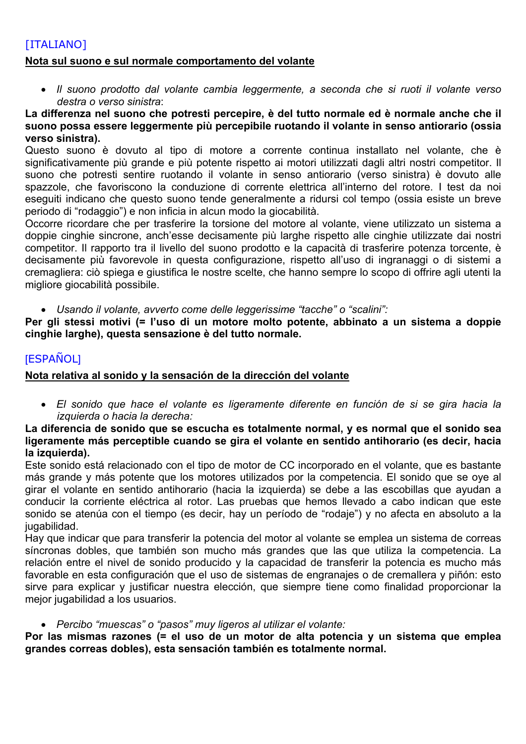# <span id="page-3-0"></span>[ITALIANO]

#### **Nota sul suono e sul normale comportamento del volante**

 *Il suono prodotto dal volante cambia leggermente, a seconda che si ruoti il volante verso destra o verso sinistra*:

#### **La differenza nel suono che potresti percepire, è del tutto normale ed è normale anche che il suono possa essere leggermente più percepibile ruotando il volante in senso antiorario (ossia verso sinistra).**

Questo suono è dovuto al tipo di motore a corrente continua installato nel volante, che è significativamente più grande e più potente rispetto ai motori utilizzati dagli altri nostri competitor. Il suono che potresti sentire ruotando il volante in senso antiorario (verso sinistra) è dovuto alle spazzole, che favoriscono la conduzione di corrente elettrica all'interno del rotore. I test da noi eseguiti indicano che questo suono tende generalmente a ridursi col tempo (ossia esiste un breve periodo di "rodaggio") e non inficia in alcun modo la giocabilità.

Occorre ricordare che per trasferire la torsione del motore al volante, viene utilizzato un sistema a doppie cinghie sincrone, anch'esse decisamente più larghe rispetto alle cinghie utilizzate dai nostri competitor. Il rapporto tra il livello del suono prodotto e la capacità di trasferire potenza torcente, è decisamente più favorevole in questa configurazione, rispetto all'uso di ingranaggi o di sistemi a cremagliera: ciò spiega e giustifica le nostre scelte, che hanno sempre lo scopo di offrire agli utenti la migliore giocabilità possibile.

*Usando il volante, avverto come delle leggerissime "tacche" o "scalini":*

**Per gli stessi motivi (= l'uso di un motore molto potente, abbinato a un sistema a doppie cinghie larghe), questa sensazione è del tutto normale.**

### [ESPAÑOL]

#### **Nota relativa al sonido y la sensación de la dirección del volante**

 *El sonido que hace el volante es ligeramente diferente en función de si se gira hacia la izquierda o hacia la derecha:*

#### **La diferencia de sonido que se escucha es totalmente normal, y es normal que el sonido sea ligeramente más perceptible cuando se gira el volante en sentido antihorario (es decir, hacia la izquierda).**

Este sonido está relacionado con el tipo de motor de CC incorporado en el volante, que es bastante más grande y más potente que los motores utilizados por la competencia. El sonido que se oye al girar el volante en sentido antihorario (hacia la izquierda) se debe a las escobillas que ayudan a conducir la corriente eléctrica al rotor. Las pruebas que hemos llevado a cabo indican que este sonido se atenúa con el tiempo (es decir, hay un período de "rodaje") y no afecta en absoluto a la jugabilidad.

Hay que indicar que para transferir la potencia del motor al volante se emplea un sistema de correas síncronas dobles, que también son mucho más grandes que las que utiliza la competencia. La relación entre el nivel de sonido producido y la capacidad de transferir la potencia es mucho más favorable en esta configuración que el uso de sistemas de engranajes o de cremallera y piñón: esto sirve para explicar y justificar nuestra elección, que siempre tiene como finalidad proporcionar la mejor jugabilidad a los usuarios.

#### *Percibo "muescas" o "pasos" muy ligeros al utilizar el volante:*

**Por las mismas razones (= el uso de un motor de alta potencia y un sistema que emplea grandes correas dobles), esta sensación también es totalmente normal.**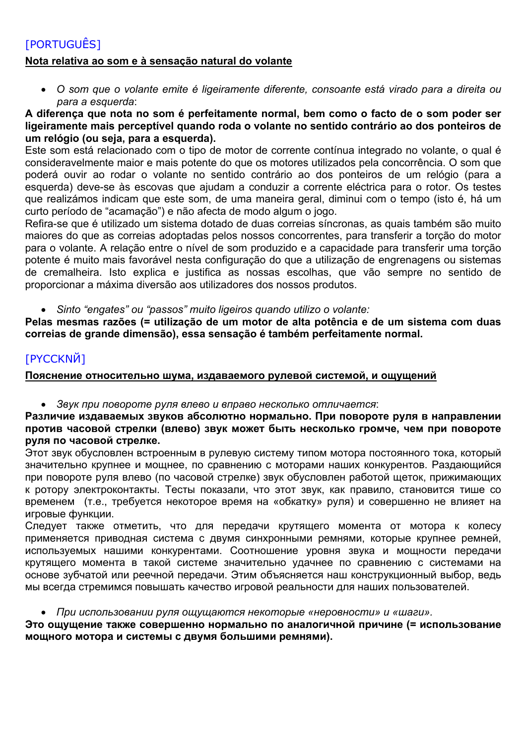# <span id="page-4-0"></span>[PORTUGUÊS] **Nota relativa ao som e à sensação natural do volante**

 *O som que o volante emite é ligeiramente diferente, consoante está virado para a direita ou para a esquerda*:

#### **A diferença que nota no som é perfeitamente normal, bem como o facto de o som poder ser ligeiramente mais perceptível quando roda o volante no sentido contrário ao dos ponteiros de um relógio (ou seja, para a esquerda).**

Este som está relacionado com o tipo de motor de corrente contínua integrado no volante, o qual é consideravelmente maior e mais potente do que os motores utilizados pela concorrência. O som que poderá ouvir ao rodar o volante no sentido contrário ao dos ponteiros de um relógio (para a esquerda) deve-se às escovas que ajudam a conduzir a corrente eléctrica para o rotor. Os testes que realizámos indicam que este som, de uma maneira geral, diminui com o tempo (isto é, há um curto período de "acamação") e não afecta de modo algum o jogo.

Refira-se que é utilizado um sistema dotado de duas correias síncronas, as quais também são muito maiores do que as correias adoptadas pelos nossos concorrentes, para transferir a torção do motor para o volante. A relação entre o nível de som produzido e a capacidade para transferir uma torção potente é muito mais favorável nesta configuração do que a utilização de engrenagens ou sistemas de cremalheira. Isto explica e justifica as nossas escolhas, que vão sempre no sentido de proporcionar a máxima diversão aos utilizadores dos nossos produtos.

*Sinto "engates" ou "passos" muito ligeiros quando utilizo o volante:*

**Pelas mesmas razões (= utilização de um motor de alta potência e de um sistema com duas correias de grande dimensão), essa sensação é também perfeitamente normal.**

# [PYCCKNЙ]

### **Пояснение относительно шума, издаваемого рулевой системой, и ощущений**

*Звук при повороте руля влево и вправо несколько отличается*:

#### **Различие издаваемых звуков абсолютно нормально. При повороте руля в направлении против часовой стрелки (влево) звук может быть несколько громче, чем при повороте руля по часовой стрелке.**

Этот звук обусловлен встроенным в рулевую систему типом мотора постоянного тока, который значительно крупнее и мощнее, по сравнению с моторами наших конкурентов. Раздающийся при повороте руля влево (по часовой стрелке) звук обусловлен работой щеток, прижимающих к ротору электроконтакты. Тесты показали, что этот звук, как правило, становится тише со временем (т.е., требуется некоторое время на «обкатку» руля) и совершенно не влияет на игровые функции.

Следует также отметить, что для передачи крутящего момента от мотора к колесу применяется приводная система с двумя синхронными ремнями, которые крупнее ремней, используемых нашими конкурентами. Соотношение уровня звука и мощности передачи крутящего момента в такой системе значительно удачнее по сравнению с системами на основе зубчатой или реечной передачи. Этим объясняется наш конструкционный выбор, ведь мы всегда стремимся повышать качество игровой реальности для наших пользователей.

#### *При использовании руля ощущаются некоторые «неровности» и «шаги».*

#### **Это ощущение также совершенно нормально по аналогичной причине (= использование мощного мотора и системы с двумя большими ремнями).**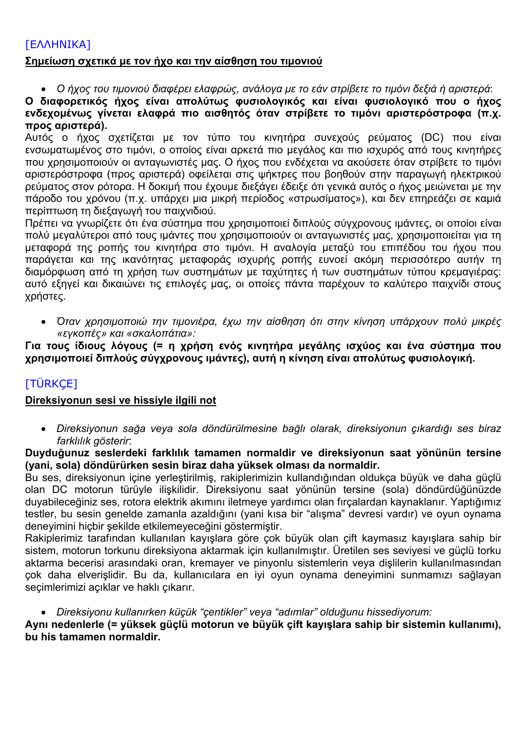# <span id="page-5-0"></span>[ΕΛΛΗΝΙΚΑ]

#### **Σημείωση σχετικά με τον ήχο και την αίσθηση του τιμονιού**

*Ο ήχος του τιμονιού διαφέρει ελαφρώς, ανάλογα με το εάν στρίβετε το τιμόνι δεξιά ή αριστερά*:

**Ο διαφορετικός ήχος είναι απολύτως φυσιολογικός και είναι φυσιολογικό που ο ήχος ενδεχομένως γίνεται ελαφρά πιο αισθητός όταν στρίβετε το τιμόνι αριστερόστροφα (π.χ. προς αριστερά).** 

Αυτός ο ήχος σχετίζεται με τον τύπο του κινητήρα συνεχούς ρεύματος (DC) που είναι ενσωματωμένος στο τιμόνι, ο οποίος είναι αρκετά πιο μεγάλος και πιο ισχυρός από τους κινητήρες που χρησιμοποιούν οι ανταγωνιστές μας. Ο ήχος που ενδέχεται να ακούσετε όταν στρίβετε το τιμόνι αριστερόστροφα (προς αριστερά) οφείλεται στις ψήκτρες που βοηθούν στην παραγωγή ηλεκτρικού ρεύματος στον ρότορα. Η δοκιμή που έχουμε διεξάγει έδειξε ότι γενικά αυτός ο ήχος μειώνεται με την πάροδο του χρόνου (π.χ. υπάρχει μια μικρή περίοδος «στρωσίματος»), και δεν επηρεάζει σε καμιά περίπτωση τη διεξαγωγή του παιχνιδιού.

Πρέπει να γνωρίζετε ότι ένα σύστημα που χρησιμοποιεί διπλούς σύγχρονους ιμάντες, οι οποίοι είναι πολύ μεγαλύτεροι από τους ιμάντες που χρησιμοποιούν οι ανταγωνιστές μας, χρησιμοποιείται για τη μεταφορά της ροπής του κινητήρα στο τιμόνι. Η αναλογία μεταξύ του επιπέδου του ήχου που παράγεται και της ικανότητας μεταφοράς ισχυρής ροπής ευνοεί ακόμη περισσότερο αυτήν τη διαμόρφωση από τη χρήση των συστημάτων με ταχύτητες ή των συστημάτων τύπου κρεμαγιέρας: αυτό εξηγεί και δικαιώνει τις επιλογές μας, οι οποίες πάντα παρέχουν το καλύτερο παιχνίδι στους χρήστες.

 *Όταν χρησιμοποιώ την τιμονιέρα, έχω την αίσθηση ότι στην κίνηση υπάρχουν πολύ μικρές «εγκοπές» και «σκαλοπάτια»:*

**Για τους ίδιους λόγους (= η χρήση ενός κινητήρα μεγάλης ισχύος και ένα σύστημα που χρησιμοποιεί διπλούς σύγχρονους ιμάντες), αυτή η κίνηση είναι απολύτως φυσιολογική.**

# [TÜRKÇE]

#### **Direksiyonun sesi ve hissiyle ilgili not**

 *Direksiyonun sağa veya sola döndürülmesine bağlı olarak, direksiyonun çıkardığı ses biraz farklılık gösterir*:

**Duyduğunuz seslerdeki farklılık tamamen normaldir ve direksiyonun saat yönünün tersine (yani, sola) döndürürken sesin biraz daha yüksek olması da normaldir.** 

Bu ses, direksiyonun içine yerleştirilmiş, rakiplerimizin kullandığından oldukça büyük ve daha güçlü olan DC motorun türüyle ilişkilidir. Direksiyonu saat yönünün tersine (sola) döndürdüğünüzde duyabileceğiniz ses, rotora elektrik akımını iletmeye yardımcı olan fırçalardan kaynaklanır. Yaptığımız testler, bu sesin genelde zamanla azaldığını (yani kısa bir "alışma" devresi vardır) ve oyun oynama deneyimini hiçbir şekilde etkilemeyeceğini göstermiştir.

Rakiplerimiz tarafından kullanılan kayışlara göre çok büyük olan çift kaymasız kayışlara sahip bir sistem, motorun torkunu direksiyona aktarmak için kullanılmıştır. Üretilen ses seviyesi ve güçlü torku aktarma becerisi arasındaki oran, kremayer ve pinyonlu sistemlerin veya dişlilerin kullanılmasından çok daha elverişlidir. Bu da, kullanıcılara en iyi oyun oynama deneyimini sunmamızı sağlayan seçimlerimizi açıklar ve haklı çıkarır.

*Direksiyonu kullanırken küçük "çentikler" veya "adımlar" olduğunu hissediyorum:*

**Aynı nedenlerle (= yüksek güçlü motorun ve büyük çift kayışlara sahip bir sistemin kullanımı), bu his tamamen normaldir.**